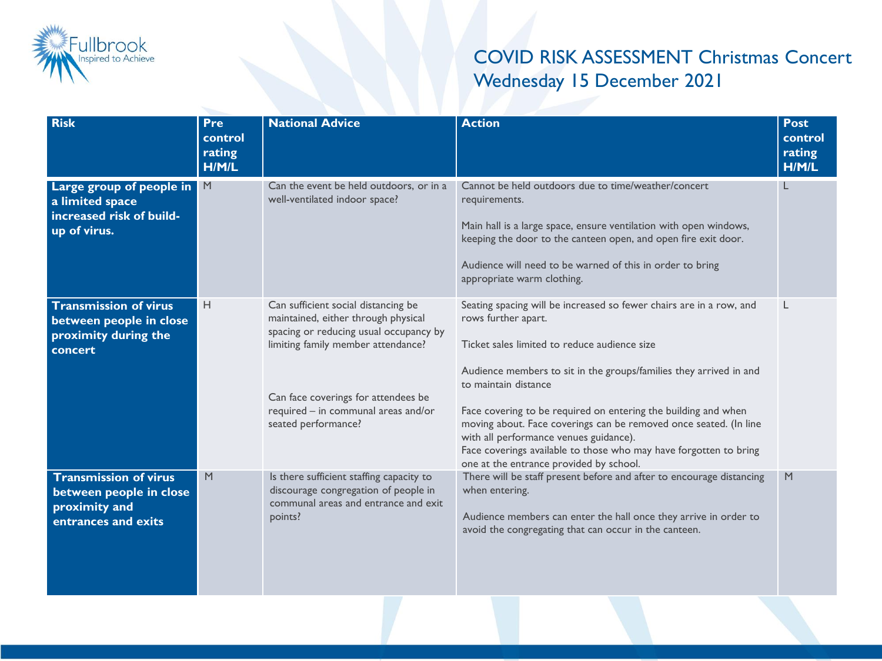

## COVID RISK ASSESSMENT Christmas Concert Wednesday 15 December 2021

| <b>Risk</b>                                                                                     | <b>Pre</b><br>control<br>rating<br>H/M/L | <b>National Advice</b>                                                                                                                                                                                                                                          | <b>Action</b>                                                                                                                                                                                                                                                                                                                                                                                                                                                                                                                             | <b>Post</b><br>control<br>rating<br>H/M/L |
|-------------------------------------------------------------------------------------------------|------------------------------------------|-----------------------------------------------------------------------------------------------------------------------------------------------------------------------------------------------------------------------------------------------------------------|-------------------------------------------------------------------------------------------------------------------------------------------------------------------------------------------------------------------------------------------------------------------------------------------------------------------------------------------------------------------------------------------------------------------------------------------------------------------------------------------------------------------------------------------|-------------------------------------------|
| Large group of people in<br>a limited space<br>increased risk of build-<br>up of virus.         | M                                        | Can the event be held outdoors, or in a<br>well-ventilated indoor space?                                                                                                                                                                                        | Cannot be held outdoors due to time/weather/concert<br>requirements.<br>Main hall is a large space, ensure ventilation with open windows,<br>keeping the door to the canteen open, and open fire exit door.<br>Audience will need to be warned of this in order to bring<br>appropriate warm clothing.                                                                                                                                                                                                                                    | L                                         |
| <b>Transmission of virus</b><br>between people in close<br>proximity during the<br>concert      | Н                                        | Can sufficient social distancing be<br>maintained, either through physical<br>spacing or reducing usual occupancy by<br>limiting family member attendance?<br>Can face coverings for attendees be<br>required - in communal areas and/or<br>seated performance? | Seating spacing will be increased so fewer chairs are in a row, and<br>rows further apart.<br>Ticket sales limited to reduce audience size<br>Audience members to sit in the groups/families they arrived in and<br>to maintain distance<br>Face covering to be required on entering the building and when<br>moving about. Face coverings can be removed once seated. (In line<br>with all performance venues guidance).<br>Face coverings available to those who may have forgotten to bring<br>one at the entrance provided by school. |                                           |
| <b>Transmission of virus</b><br>between people in close<br>proximity and<br>entrances and exits | M                                        | Is there sufficient staffing capacity to<br>discourage congregation of people in<br>communal areas and entrance and exit<br>points?                                                                                                                             | There will be staff present before and after to encourage distancing<br>when entering.<br>Audience members can enter the hall once they arrive in order to<br>avoid the congregating that can occur in the canteen.                                                                                                                                                                                                                                                                                                                       | M                                         |
|                                                                                                 |                                          |                                                                                                                                                                                                                                                                 |                                                                                                                                                                                                                                                                                                                                                                                                                                                                                                                                           |                                           |